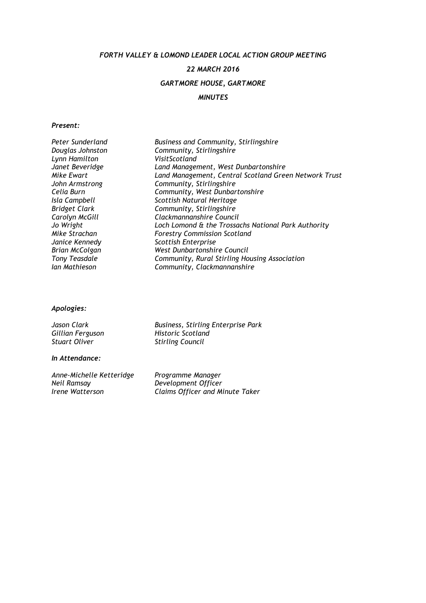FORTH VALLEY & LOMOND LEADER LOCAL ACTION GROUP MEETING

# 22 MARCH 2016

# GARTMORE HOUSE, GARTMORE

## MINUTES

## Present:

| Land Management, Central Scotland Green Network Trust |
|-------------------------------------------------------|
|                                                       |
|                                                       |
|                                                       |
|                                                       |
|                                                       |
|                                                       |
|                                                       |
|                                                       |
|                                                       |
|                                                       |
|                                                       |
|                                                       |

## Apologies:

| Jason Clark          |
|----------------------|
| Gillian Ferguson     |
| <b>Stuart Oliver</b> |

Business, Stirling Enterprise Park Historic Scotland Stirling Council

## In Attendance:

Anne-Michelle Ketteridge Programme Manager<br>Neil Ramsay Pevelopment Officer Neil Ramsay Development Officer

Irene Watterson Claims Officer and Minute Taker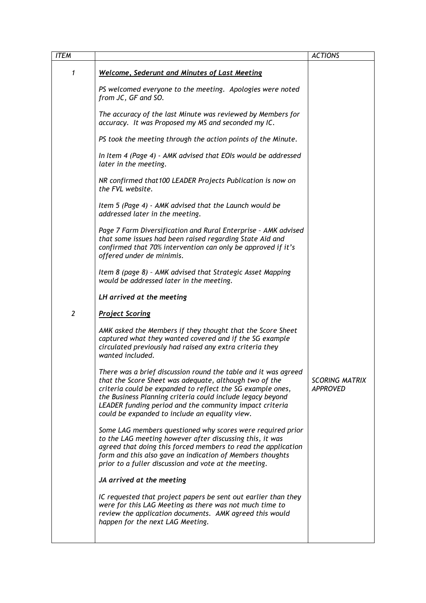|                                                                                                                                                                                                                                                                                                                                                                   | <b>ACTIONS</b>                           |
|-------------------------------------------------------------------------------------------------------------------------------------------------------------------------------------------------------------------------------------------------------------------------------------------------------------------------------------------------------------------|------------------------------------------|
| <b>Welcome, Sederunt and Minutes of Last Meeting</b>                                                                                                                                                                                                                                                                                                              |                                          |
| PS welcomed everyone to the meeting. Apologies were noted<br>from JC, GF and SO.                                                                                                                                                                                                                                                                                  |                                          |
| The accuracy of the last Minute was reviewed by Members for<br>accuracy. It was Proposed my MS and seconded my IC.                                                                                                                                                                                                                                                |                                          |
| PS took the meeting through the action points of the Minute.                                                                                                                                                                                                                                                                                                      |                                          |
| In Item 4 (Page 4) - AMK advised that EOIs would be addressed<br>later in the meeting.                                                                                                                                                                                                                                                                            |                                          |
| NR confirmed that 100 LEADER Projects Publication is now on<br>the FVL website.                                                                                                                                                                                                                                                                                   |                                          |
| Item 5 (Page 4) - AMK advised that the Launch would be<br>addressed later in the meeting.                                                                                                                                                                                                                                                                         |                                          |
| Page 7 Farm Diversification and Rural Enterprise - AMK advised<br>that some issues had been raised regarding State Aid and<br>confirmed that 70% intervention can only be approved if it's<br>offered under de minimis.                                                                                                                                           |                                          |
| Item 8 (page 8) - AMK advised that Strategic Asset Mapping<br>would be addressed later in the meeting.                                                                                                                                                                                                                                                            |                                          |
| LH arrived at the meeting                                                                                                                                                                                                                                                                                                                                         |                                          |
| <b>Project Scoring</b>                                                                                                                                                                                                                                                                                                                                            |                                          |
| AMK asked the Members if they thought that the Score Sheet<br>captured what they wanted covered and if the SG example<br>circulated previously had raised any extra criteria they<br>wanted included.                                                                                                                                                             |                                          |
| There was a brief discussion round the table and it was agreed<br>that the Score Sheet was adequate, although two of the<br>criteria could be expanded to reflect the SG example ones,<br>the Business Planning criteria could include legacy beyond<br>LEADER funding period and the community impact criteria<br>could be expanded to include an equality view. | <b>SCORING MATRIX</b><br><b>APPROVED</b> |
| Some LAG members questioned why scores were required prior<br>to the LAG meeting however after discussing this, it was<br>agreed that doing this forced members to read the application<br>form and this also gave an indication of Members thoughts<br>prior to a fuller discussion and vote at the meeting.                                                     |                                          |
| JA arrived at the meeting                                                                                                                                                                                                                                                                                                                                         |                                          |
| IC requested that project papers be sent out earlier than they<br>were for this LAG Meeting as there was not much time to<br>review the application documents. AMK agreed this would<br>happen for the next LAG Meeting.                                                                                                                                          |                                          |
|                                                                                                                                                                                                                                                                                                                                                                   |                                          |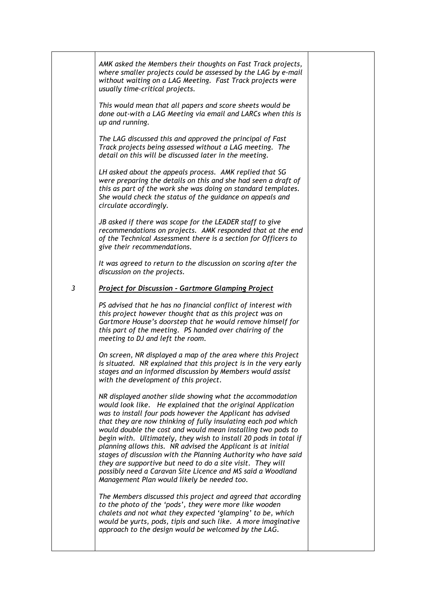|   | AMK asked the Members their thoughts on Fast Track projects,<br>where smaller projects could be assessed by the LAG by e-mail<br>without waiting on a LAG Meeting. Fast Track projects were<br>usually time-critical projects.                                                                                                                                                                                                                                                                                                                                                                                                                                                                           |  |
|---|----------------------------------------------------------------------------------------------------------------------------------------------------------------------------------------------------------------------------------------------------------------------------------------------------------------------------------------------------------------------------------------------------------------------------------------------------------------------------------------------------------------------------------------------------------------------------------------------------------------------------------------------------------------------------------------------------------|--|
|   | This would mean that all papers and score sheets would be<br>done out-with a LAG Meeting via email and LARCs when this is<br>up and running.                                                                                                                                                                                                                                                                                                                                                                                                                                                                                                                                                             |  |
|   | The LAG discussed this and approved the principal of Fast<br>Track projects being assessed without a LAG meeting. The<br>detail on this will be discussed later in the meeting.                                                                                                                                                                                                                                                                                                                                                                                                                                                                                                                          |  |
|   | LH asked about the appeals process. AMK replied that SG<br>were preparing the details on this and she had seen a draft of<br>this as part of the work she was doing on standard templates.<br>She would check the status of the guidance on appeals and<br>circulate accordingly.                                                                                                                                                                                                                                                                                                                                                                                                                        |  |
|   | JB asked if there was scope for the LEADER staff to give<br>recommendations on projects. AMK responded that at the end<br>of the Technical Assessment there is a section for Officers to<br>give their recommendations.                                                                                                                                                                                                                                                                                                                                                                                                                                                                                  |  |
|   | It was agreed to return to the discussion on scoring after the<br>discussion on the projects.                                                                                                                                                                                                                                                                                                                                                                                                                                                                                                                                                                                                            |  |
| 3 | <b>Project for Discussion - Gartmore Glamping Project</b>                                                                                                                                                                                                                                                                                                                                                                                                                                                                                                                                                                                                                                                |  |
|   | PS advised that he has no financial conflict of interest with<br>this project however thought that as this project was on<br>Gartmore House's doorstep that he would remove himself for<br>this part of the meeting. PS handed over chairing of the<br>meeting to DJ and left the room.                                                                                                                                                                                                                                                                                                                                                                                                                  |  |
|   | On screen, NR displayed a map of the area where this Project<br>is situated. NR explained that this project is in the very early<br>stages and an informed discussion by Members would assist<br>with the development of this project.                                                                                                                                                                                                                                                                                                                                                                                                                                                                   |  |
|   | NR displayed another slide showing what the accommodation<br>would look like. He explained that the original Application<br>was to install four pods however the Applicant has advised<br>that they are now thinking of fully insulating each pod which<br>would double the cost and would mean installing two pods to<br>begin with. Ultimately, they wish to install 20 pods in total if<br>planning allows this. NR advised the Applicant is at initial<br>stages of discussion with the Planning Authority who have said<br>they are supportive but need to do a site visit. They will<br>possibly need a Caravan Site Licence and MS said a Woodland<br>Management Plan would likely be needed too. |  |
|   | The Members discussed this project and agreed that according<br>to the photo of the 'pods', they were more like wooden<br>chalets and not what they expected 'glamping' to be, which<br>would be yurts, pods, tipis and such like. A more imaginative<br>approach to the design would be welcomed by the LAG.                                                                                                                                                                                                                                                                                                                                                                                            |  |
|   |                                                                                                                                                                                                                                                                                                                                                                                                                                                                                                                                                                                                                                                                                                          |  |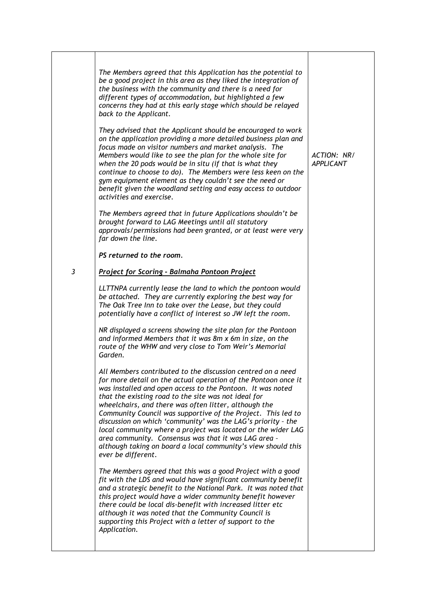| The Members agreed that this Application has the potential to<br>be a good project in this area as they liked the integration of<br>the business with the community and there is a need for<br>different types of accommodation, but highlighted a few<br>concerns they had at this early stage which should be relayed<br>back to the Applicant.                                                                                                                                                                                                                                                                                                           |                                 |
|-------------------------------------------------------------------------------------------------------------------------------------------------------------------------------------------------------------------------------------------------------------------------------------------------------------------------------------------------------------------------------------------------------------------------------------------------------------------------------------------------------------------------------------------------------------------------------------------------------------------------------------------------------------|---------------------------------|
| They advised that the Applicant should be encouraged to work<br>on the application providing a more detailed business plan and<br>focus made on visitor numbers and market analysis. The<br>Members would like to see the plan for the whole site for<br>when the 20 pods would be in situ (if that is what they<br>continue to choose to do). The Members were less keen on the<br>gym equipment element as they couldn't see the need or<br>benefit given the woodland setting and easy access to outdoor<br>activities and exercise.                                                                                                                     | ACTION: NR/<br><b>APPLICANT</b> |
| The Members agreed that in future Applications shouldn't be<br>brought forward to LAG Meetings until all statutory<br>approvals/permissions had been granted, or at least were very<br>far down the line.                                                                                                                                                                                                                                                                                                                                                                                                                                                   |                                 |
| PS returned to the room.                                                                                                                                                                                                                                                                                                                                                                                                                                                                                                                                                                                                                                    |                                 |
| <b>Project for Scoring - Balmaha Pontoon Project</b>                                                                                                                                                                                                                                                                                                                                                                                                                                                                                                                                                                                                        |                                 |
| LLTTNPA currently lease the land to which the pontoon would<br>be attached. They are currently exploring the best way for<br>The Oak Tree Inn to take over the Lease, but they could<br>potentially have a conflict of interest so JW left the room.                                                                                                                                                                                                                                                                                                                                                                                                        |                                 |
| NR displayed a screens showing the site plan for the Pontoon<br>and informed Members that it was 8m x 6m in size, on the<br>route of the WHW and very close to Tom Weir's Memorial<br>Garden.                                                                                                                                                                                                                                                                                                                                                                                                                                                               |                                 |
| All Members contributed to the discussion centred on a need<br>for more detail on the actual operation of the Pontoon once it<br>was installed and open access to the Pontoon. It was noted<br>that the existing road to the site was not ideal for<br>wheelchairs, and there was often litter, although the<br>Community Council was supportive of the Project. This led to<br>discussion on which 'community' was the LAG's priority - the<br>local community where a project was located or the wider LAG<br>area community. Consensus was that it was LAG area -<br>although taking on board a local community's view should this<br>ever be different. |                                 |
| The Members agreed that this was a good Project with a good<br>fit with the LDS and would have significant community benefit<br>and a strategic benefit to the National Park. It was noted that<br>this project would have a wider community benefit however<br>there could be local dis-benefit with increased litter etc<br>although it was noted that the Community Council is<br>supporting this Project with a letter of support to the<br>Application.                                                                                                                                                                                                |                                 |
|                                                                                                                                                                                                                                                                                                                                                                                                                                                                                                                                                                                                                                                             |                                 |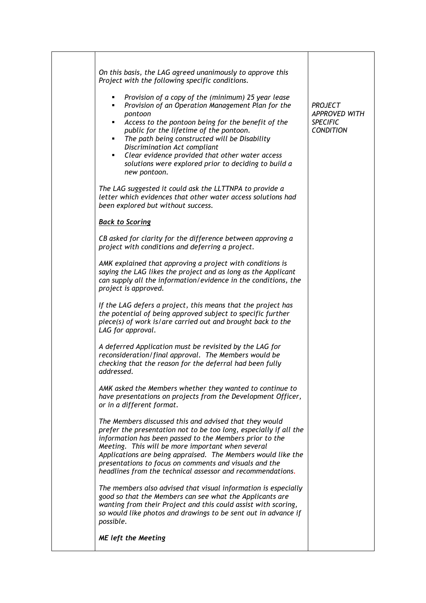| On this basis, the LAG agreed unanimously to approve this<br>Project with the following specific conditions.<br>Provision of a copy of the (minimum) 25 year lease<br>٠<br>Provision of an Operation Management Plan for the<br>٠<br>pontoon<br>Access to the pontoon being for the benefit of the<br>٠<br>public for the lifetime of the pontoon.<br>The path being constructed will be Disability<br>٠<br>Discrimination Act compliant<br>Clear evidence provided that other water access<br>٠<br>solutions were explored prior to deciding to build a<br>new pontoon. | <b>PROJECT</b><br><b>APPROVED WITH</b><br><b>SPECIFIC</b><br><b>CONDITION</b> |
|--------------------------------------------------------------------------------------------------------------------------------------------------------------------------------------------------------------------------------------------------------------------------------------------------------------------------------------------------------------------------------------------------------------------------------------------------------------------------------------------------------------------------------------------------------------------------|-------------------------------------------------------------------------------|
| The LAG suggested it could ask the LLTTNPA to provide a<br>letter which evidences that other water access solutions had<br>been explored but without success.                                                                                                                                                                                                                                                                                                                                                                                                            |                                                                               |
| <b>Back to Scoring</b>                                                                                                                                                                                                                                                                                                                                                                                                                                                                                                                                                   |                                                                               |
| CB asked for clarity for the difference between approving a<br>project with conditions and deferring a project.                                                                                                                                                                                                                                                                                                                                                                                                                                                          |                                                                               |
| AMK explained that approving a project with conditions is<br>saying the LAG likes the project and as long as the Applicant<br>can supply all the information/evidence in the conditions, the<br>project is approved.                                                                                                                                                                                                                                                                                                                                                     |                                                                               |
| If the LAG defers a project, this means that the project has<br>the potential of being approved subject to specific further<br>piece(s) of work is/are carried out and brought back to the<br>LAG for approval.                                                                                                                                                                                                                                                                                                                                                          |                                                                               |
| A deferred Application must be revisited by the LAG for<br>reconsideration/final approval. The Members would be<br>checking that the reason for the deferral had been fully<br>addressed.                                                                                                                                                                                                                                                                                                                                                                                |                                                                               |
| AMK asked the Members whether they wanted to continue to<br>have presentations on projects from the Development Officer,<br>or in a different format.                                                                                                                                                                                                                                                                                                                                                                                                                    |                                                                               |
| The Members discussed this and advised that they would<br>prefer the presentation not to be too long, especially if all the<br>information has been passed to the Members prior to the<br>Meeting. This will be more important when several<br>Applications are being appraised. The Members would like the<br>presentations to focus on comments and visuals and the<br>headlines from the technical assessor and recommendations.                                                                                                                                      |                                                                               |
| The members also advised that visual information is especially<br>good so that the Members can see what the Applicants are<br>wanting from their Project and this could assist with scoring,<br>so would like photos and drawings to be sent out in advance if<br>possible.                                                                                                                                                                                                                                                                                              |                                                                               |
| <b>ME</b> left the Meeting                                                                                                                                                                                                                                                                                                                                                                                                                                                                                                                                               |                                                                               |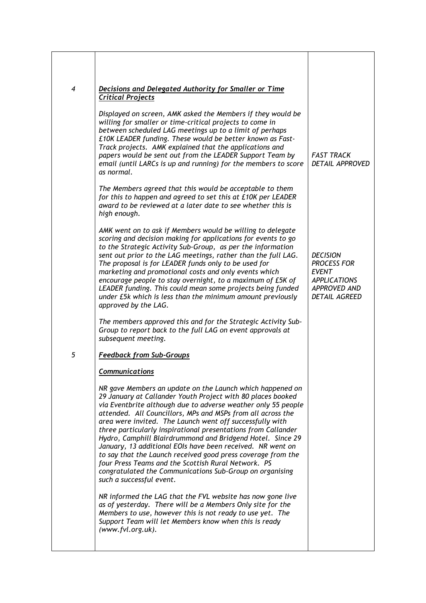| $\overline{4}$ | Decisions and Delegated Authority for Smaller or Time<br><b>Critical Projects</b>                                                                                                                                                                                                                                                                                                                                                                                                                                                                                                                                                                                                                                                |                                                                                                                             |
|----------------|----------------------------------------------------------------------------------------------------------------------------------------------------------------------------------------------------------------------------------------------------------------------------------------------------------------------------------------------------------------------------------------------------------------------------------------------------------------------------------------------------------------------------------------------------------------------------------------------------------------------------------------------------------------------------------------------------------------------------------|-----------------------------------------------------------------------------------------------------------------------------|
|                | Displayed on screen, AMK asked the Members if they would be<br>willing for smaller or time-critical projects to come in<br>between scheduled LAG meetings up to a limit of perhaps<br>£10K LEADER funding. These would be better known as Fast-<br>Track projects. AMK explained that the applications and<br>papers would be sent out from the LEADER Support Team by<br>email (until LARCs is up and running) for the members to score<br>as normal.                                                                                                                                                                                                                                                                           | <b>FAST TRACK</b><br><b>DETAIL APPROVED</b>                                                                                 |
|                | The Members agreed that this would be acceptable to them<br>for this to happen and agreed to set this at £10K per LEADER<br>award to be reviewed at a later date to see whether this is<br>high enough.                                                                                                                                                                                                                                                                                                                                                                                                                                                                                                                          |                                                                                                                             |
|                | AMK went on to ask if Members would be willing to delegate<br>scoring and decision making for applications for events to go<br>to the Strategic Activity Sub-Group, as per the information<br>sent out prior to the LAG meetings, rather than the full LAG.<br>The proposal is for LEADER funds only to be used for<br>marketing and promotional costs and only events which<br>encourage people to stay overnight, to a maximum of £5K of<br>LEADER funding. This could mean some projects being funded<br>under £5k which is less than the minimum amount previously<br>approved by the LAG.                                                                                                                                   | <b>DECISION</b><br><b>PROCESS FOR</b><br><b>EVENT</b><br><b>APPLICATIONS</b><br><b>APPROVED AND</b><br><b>DETAIL AGREED</b> |
|                | The members approved this and for the Strategic Activity Sub-<br>Group to report back to the full LAG on event approvals at<br>subsequent meeting.                                                                                                                                                                                                                                                                                                                                                                                                                                                                                                                                                                               |                                                                                                                             |
| 5              | <b>Feedback from Sub-Groups</b>                                                                                                                                                                                                                                                                                                                                                                                                                                                                                                                                                                                                                                                                                                  |                                                                                                                             |
|                | <b>Communications</b>                                                                                                                                                                                                                                                                                                                                                                                                                                                                                                                                                                                                                                                                                                            |                                                                                                                             |
|                | NR gave Members an update on the Launch which happened on<br>29 January at Callander Youth Project with 80 places booked<br>via Eventbrite although due to adverse weather only 55 people<br>attended. All Councillors, MPs and MSPs from all across the<br>area were invited. The Launch went off successfully with<br>three particularly inspirational presentations from Callander<br>Hydro, Camphill Blairdrummond and Bridgend Hotel. Since 29<br>January, 13 additional EOIs have been received. NR went on<br>to say that the Launch received good press coverage from the<br>four Press Teams and the Scottish Rural Network. PS<br>congratulated the Communications Sub-Group on organising<br>such a successful event. |                                                                                                                             |
|                | NR informed the LAG that the FVL website has now gone live<br>as of yesterday. There will be a Members Only site for the<br>Members to use, however this is not ready to use yet. The<br>Support Team will let Members know when this is ready<br>(www.fvl.org.uk).                                                                                                                                                                                                                                                                                                                                                                                                                                                              |                                                                                                                             |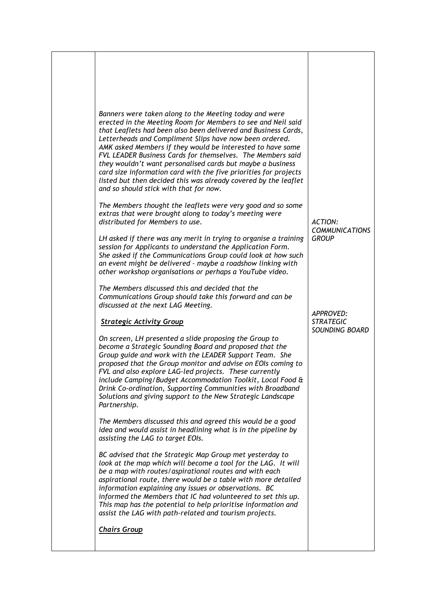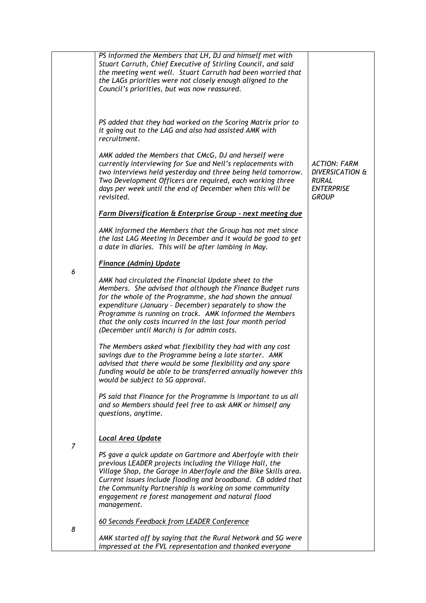|                | PS informed the Members that LH, DJ and himself met with<br>Stuart Carruth, Chief Executive of Stirling Council, and said<br>the meeting went well. Stuart Carruth had been worried that<br>the LAGs priorities were not closely enough aligned to the<br>Council's priorities, but was now reassured.                                                                                                           |                                                                                                        |
|----------------|------------------------------------------------------------------------------------------------------------------------------------------------------------------------------------------------------------------------------------------------------------------------------------------------------------------------------------------------------------------------------------------------------------------|--------------------------------------------------------------------------------------------------------|
|                | PS added that they had worked on the Scoring Matrix prior to<br>it going out to the LAG and also had assisted AMK with<br>recruitment.                                                                                                                                                                                                                                                                           |                                                                                                        |
|                | AMK added the Members that CMcG, DJ and herself were<br>currently interviewing for Sue and Neil's replacements with<br>two interviews held yesterday and three being held tomorrow.<br>Two Development Officers are required, each working three<br>days per week until the end of December when this will be<br>revisited.                                                                                      | <b>ACTION: FARM</b><br><b>DIVERSICATION &amp;</b><br><b>RURAL</b><br><b>ENTERPRISE</b><br><b>GROUP</b> |
|                | Farm Diversification & Enterprise Group - next meeting due                                                                                                                                                                                                                                                                                                                                                       |                                                                                                        |
|                | AMK informed the Members that the Group has not met since<br>the last LAG Meeting in December and it would be good to get<br>a date in diaries. This will be after lambing in May.                                                                                                                                                                                                                               |                                                                                                        |
|                | <b>Finance (Admin) Update</b>                                                                                                                                                                                                                                                                                                                                                                                    |                                                                                                        |
| 6              | AMK had circulated the Financial Update sheet to the<br>Members. She advised that although the Finance Budget runs<br>for the whole of the Programme, she had shown the annual<br>expenditure (January - December) separately to show the<br>Programme is running on track. AMK informed the Members<br>that the only costs incurred in the last four month period<br>(December until March) is for admin costs. |                                                                                                        |
|                | The Members asked what flexibility they had with any cost<br>savings due to the Programme being a late starter. AMK<br>advised that there would be some flexibility and any spare<br>funding would be able to be transferred annually however this<br>would be subject to SG approval.                                                                                                                           |                                                                                                        |
|                | PS said that Finance for the Programme is important to us all<br>and so Members should feel free to ask AMK or himself any<br>questions, anytime.                                                                                                                                                                                                                                                                |                                                                                                        |
|                | Local Area Update                                                                                                                                                                                                                                                                                                                                                                                                |                                                                                                        |
| $\overline{7}$ | PS gave a quick update on Gartmore and Aberfoyle with their<br>previous LEADER projects including the Village Hall, the<br>Village Shop, the Garage in Aberfoyle and the Bike Skills area.<br>Current issues include flooding and broadband. CB added that<br>the Community Partnership is working on some community<br>engagement re forest management and natural flood<br>management.                         |                                                                                                        |
|                | 60 Seconds Feedback from LEADER Conference                                                                                                                                                                                                                                                                                                                                                                       |                                                                                                        |
| 8              | AMK started off by saying that the Rural Network and SG were<br>impressed at the FVL representation and thanked everyone                                                                                                                                                                                                                                                                                         |                                                                                                        |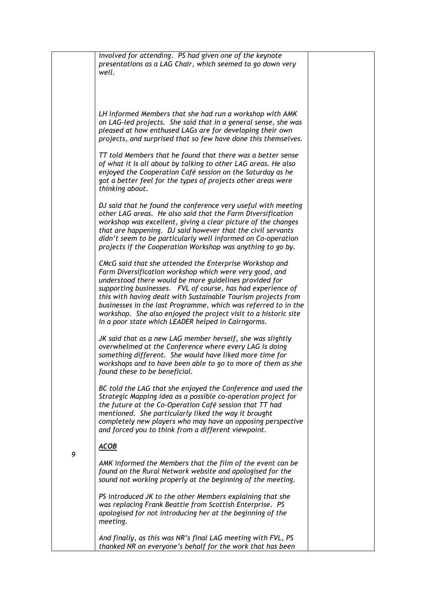|   | involved for attending. PS had given one of the keynote<br>presentations as a LAG Chair, which seemed to go down very<br>well.                                                                                                                                                                                                                                                                                                                                                                          |
|---|---------------------------------------------------------------------------------------------------------------------------------------------------------------------------------------------------------------------------------------------------------------------------------------------------------------------------------------------------------------------------------------------------------------------------------------------------------------------------------------------------------|
|   | LH informed Members that she had run a workshop with AMK<br>on LAG-led projects. She said that in a general sense, she was<br>pleased at how enthused LAGs are for developing their own<br>projects, and surprised that so few have done this themselves.                                                                                                                                                                                                                                               |
|   | TT told Members that he found that there was a better sense<br>of what it is all about by talking to other LAG areas. He also<br>enjoyed the Cooperation Café session on the Saturday as he<br>got a better feel for the types of projects other areas were<br>thinking about.                                                                                                                                                                                                                          |
|   | DJ said that he found the conference very useful with meeting<br>other LAG areas. He also said that the Farm Diversification<br>workshop was excellent, giving a clear picture of the changes<br>that are happening. DJ said however that the civil servants<br>didn't seem to be particularly well informed on Co-operation<br>projects if the Cooperation Workshop was anything to go by.                                                                                                             |
|   | CMcG said that she attended the Enterprise Workshop and<br>Farm Diversification workshop which were very good, and<br>understood there would be more guidelines provided for<br>supporting businesses. FVL of course, has had experience of<br>this with having dealt with Sustainable Tourism projects from<br>businesses in the last Programme, which was referred to in the<br>workshop. She also enjoyed the project visit to a historic site<br>in a poor state which LEADER helped in Cairngorms. |
|   | JK said that as a new LAG member herself, she was slightly<br>overwhelmed at the Conference where every LAG is doing<br>something different. She would have liked more time for<br>workshops and to have been able to go to more of them as she<br>found these to be beneficial.                                                                                                                                                                                                                        |
|   | BC told the LAG that she enjoyed the Conference and used the<br>Strategic Mapping idea as a possible co-operation project for<br>the future at the Co-Operation Café session that TT had<br>mentioned. She particularly liked the way it brought<br>completely new players who may have an opposing perspective<br>and forced you to think from a different viewpoint.                                                                                                                                  |
| 9 | <b>ACOB</b>                                                                                                                                                                                                                                                                                                                                                                                                                                                                                             |
|   | AMK informed the Members that the film of the event can be<br>found on the Rural Network website and apologised for the<br>sound not working properly at the beginning of the meeting.                                                                                                                                                                                                                                                                                                                  |
|   | PS introduced JK to the other Members explaining that she<br>was replacing Frank Beattie from Scottish Enterprise. PS<br>apologised for not introducing her at the beginning of the<br>meeting.                                                                                                                                                                                                                                                                                                         |
|   | And finally, as this was NR's final LAG meeting with FVL, PS<br>thanked NR on everyone's behalf for the work that has been                                                                                                                                                                                                                                                                                                                                                                              |